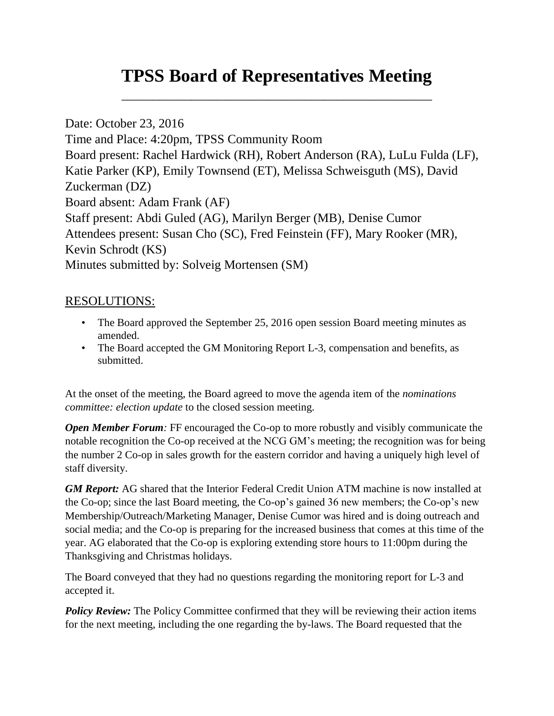## **TPSS Board of Representatives Meeting**

\_\_\_\_\_\_\_\_\_\_\_\_\_\_\_\_\_\_\_\_\_\_\_\_\_\_\_\_\_\_\_\_\_\_\_\_\_\_\_\_\_\_\_\_\_\_\_\_\_

Date: October 23, 2016 Time and Place: 4:20pm, TPSS Community Room Board present: Rachel Hardwick (RH), Robert Anderson (RA), LuLu Fulda (LF), Katie Parker (KP), Emily Townsend (ET), Melissa Schweisguth (MS), David Zuckerman (DZ) Board absent: Adam Frank (AF) Staff present: Abdi Guled (AG), Marilyn Berger (MB), Denise Cumor Attendees present: Susan Cho (SC), Fred Feinstein (FF), Mary Rooker (MR), Kevin Schrodt (KS) Minutes submitted by: Solveig Mortensen (SM)

## RESOLUTIONS:

- The Board approved the September 25, 2016 open session Board meeting minutes as amended.
- The Board accepted the GM Monitoring Report L-3, compensation and benefits, as submitted.

At the onset of the meeting, the Board agreed to move the agenda item of the *nominations committee: election update* to the closed session meeting.

*Open Member Forum:* FF encouraged the Co-op to more robustly and visibly communicate the notable recognition the Co-op received at the NCG GM's meeting; the recognition was for being the number 2 Co-op in sales growth for the eastern corridor and having a uniquely high level of staff diversity.

*GM Report:* AG shared that the Interior Federal Credit Union ATM machine is now installed at the Co-op; since the last Board meeting, the Co-op's gained 36 new members; the Co-op's new Membership/Outreach/Marketing Manager, Denise Cumor was hired and is doing outreach and social media; and the Co-op is preparing for the increased business that comes at this time of the year. AG elaborated that the Co-op is exploring extending store hours to 11:00pm during the Thanksgiving and Christmas holidays.

The Board conveyed that they had no questions regarding the monitoring report for L-3 and accepted it.

**Policy Review:** The Policy Committee confirmed that they will be reviewing their action items for the next meeting, including the one regarding the by-laws. The Board requested that the